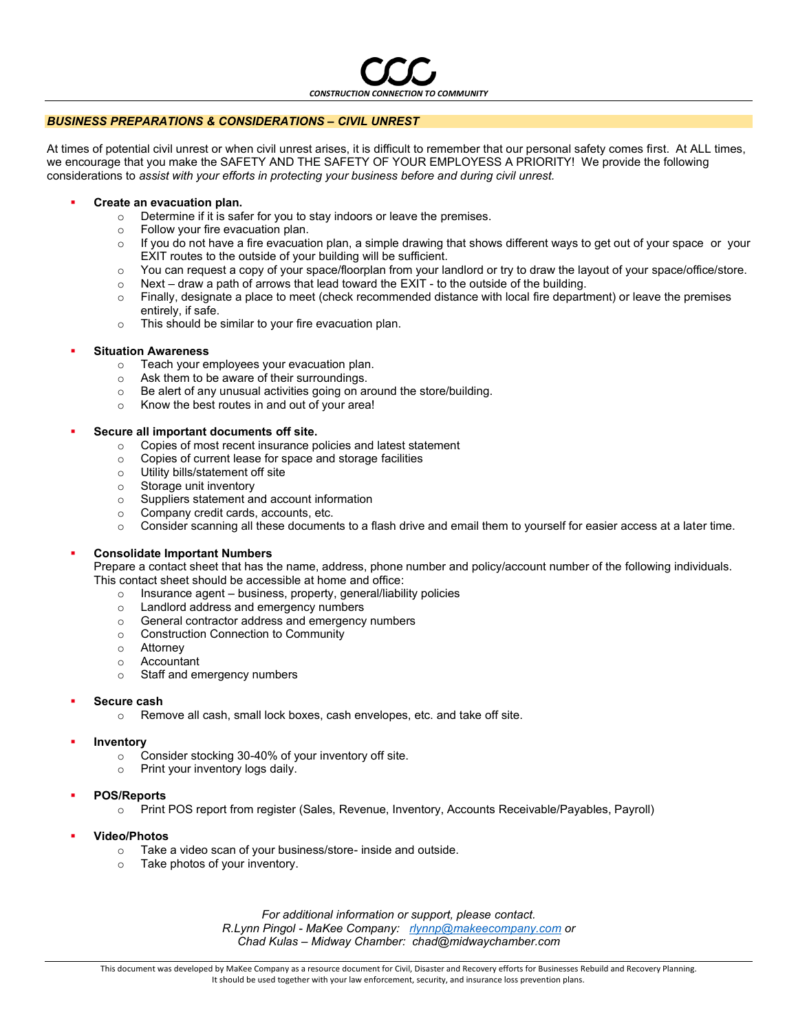

## *BUSINESS PREPARATIONS & CONSIDERATIONS – CIVIL UNREST*

At times of potential civil unrest or when civil unrest arises, it is difficult to remember that our personal safety comes first. At ALL times, we encourage that you make the SAFETY AND THE SAFETY OF YOUR EMPLOYESS A PRIORITY! We provide the following considerations to *assist with your efforts in protecting your business before and during civil unrest.*

#### **Create an evacuation plan.**

- o Determine if it is safer for you to stay indoors or leave the premises.
- o Follow your fire evacuation plan.
- $\circ$  If you do not have a fire evacuation plan, a simple drawing that shows different ways to get out of your space or your EXIT routes to the outside of your building will be sufficient.
- o You can request a copy of your space/floorplan from your landlord or try to draw the layout of your space/office/store.
- $\circ$  Next draw a path of arrows that lead toward the EXIT to the outside of the building.
- $\circ$  Finally, designate a place to meet (check recommended distance with local fire department) or leave the premises entirely, if safe.
- o This should be similar to your fire evacuation plan.

#### **Situation Awareness**

- o Teach your employees your evacuation plan.
- o Ask them to be aware of their surroundings.
- o Be alert of any unusual activities going on around the store/building.
- o Know the best routes in and out of your area!

#### ▪ **Secure all important documents off site.**

- o Copies of most recent insurance policies and latest statement
- o Copies of current lease for space and storage facilities
- o Utility bills/statement off site
- o Storage unit inventory
- o Suppliers statement and account information
- o Company credit cards, accounts, etc.
- $\circ$  Consider scanning all these documents to a flash drive and email them to yourself for easier access at a later time.

## ▪ **Consolidate Important Numbers**

Prepare a contact sheet that has the name, address, phone number and policy/account number of the following individuals. This contact sheet should be accessible at home and office:

- o Insurance agent business, property, general/liability policies
- o Landlord address and emergency numbers
- o General contractor address and emergency numbers
- o Construction Connection to Community
- o Attorney
- o Accountant
- o Staff and emergency numbers
- **Secure cash** 
	- o Remove all cash, small lock boxes, cash envelopes, etc. and take off site.
- **Inventory** 
	- o Consider stocking 30-40% of your inventory off site.
	- o Print your inventory logs daily.
- **POS/Reports**
	- o Print POS report from register (Sales, Revenue, Inventory, Accounts Receivable/Payables, Payroll)
- **Video/Photos**
	- o Take a video scan of your business/store- inside and outside.
	- o Take photos of your inventory.

*For additional information or support, please contact. R.Lynn Pingol - MaKee Company: [rlynnp@makeecompany.com](mailto:rlynnp@makeecompany.com) or Chad Kulas – Midway Chamber: chad@midwaychamber.com*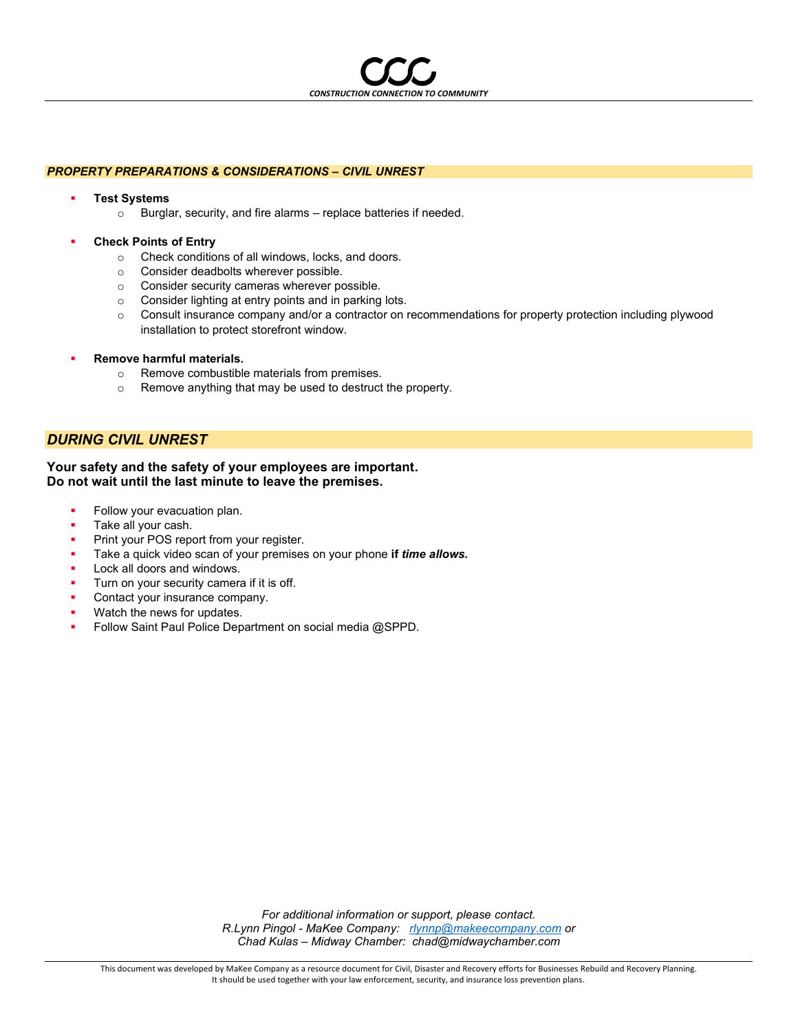*CONSTRUCTION CONNECTION TO COMMUNITY*

## *PROPERTY PREPARATIONS & CONSIDERATIONS – CIVIL UNREST*

- **Test Systems** 
	- o Burglar, security, and fire alarms replace batteries if needed.
- **Check Points of Entry** 
	- o Check conditions of all windows, locks, and doors.
	- o Consider deadbolts wherever possible.
	- o Consider security cameras wherever possible.
	- o Consider lighting at entry points and in parking lots.
	- o Consult insurance company and/or a contractor on recommendations for property protection including plywood installation to protect storefront window.
- **Remove harmful materials.** 
	- o Remove combustible materials from premises.
	- o Remove anything that may be used to destruct the property.

# *DURING CIVIL UNREST*

## **Your safety and the safety of your employees are important. Do not wait until the last minute to leave the premises.**

- Follow your evacuation plan.
- Take all your cash.
- Print your POS report from your register.
- Take a quick video scan of your premises on your phone if *time allows.*
- Lock all doors and windows.
- Turn on your security camera if it is off.
- Contact your insurance company.
- Watch the news for updates.
- Follow Saint Paul Police Department on social media @SPPD.

*For additional information or support, please contact. R.Lynn Pingol - MaKee Company: [rlynnp@makeecompany.com](mailto:rlynnp@makeecompany.com) or Chad Kulas – Midway Chamber: chad@midwaychamber.com*